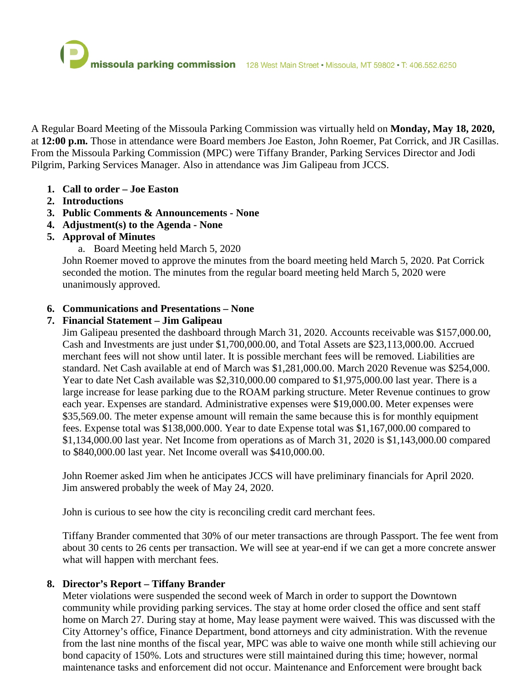A Regular Board Meeting of the Missoula Parking Commission was virtually held on **Monday, May 18, 2020,** at **12:00 p.m.** Those in attendance were Board members Joe Easton, John Roemer, Pat Corrick, and JR Casillas. From the Missoula Parking Commission (MPC) were Tiffany Brander, Parking Services Director and Jodi Pilgrim, Parking Services Manager. Also in attendance was Jim Galipeau from JCCS.

- **1. Call to order – Joe Easton**
- **2. Introductions**
- **3. Public Comments & Announcements - None**
- **4. Adjustment(s) to the Agenda - None**
- **5. Approval of Minutes**
	- a. Board Meeting held March 5, 2020

John Roemer moved to approve the minutes from the board meeting held March 5, 2020. Pat Corrick seconded the motion. The minutes from the regular board meeting held March 5, 2020 were unanimously approved.

### **6. Communications and Presentations – None**

# **7. Financial Statement – Jim Galipeau**

Jim Galipeau presented the dashboard through March 31, 2020. Accounts receivable was \$157,000.00, Cash and Investments are just under \$1,700,000.00, and Total Assets are \$23,113,000.00. Accrued merchant fees will not show until later. It is possible merchant fees will be removed. Liabilities are standard. Net Cash available at end of March was \$1,281,000.00. March 2020 Revenue was \$254,000. Year to date Net Cash available was \$2,310,000.00 compared to \$1,975,000.00 last year. There is a large increase for lease parking due to the ROAM parking structure. Meter Revenue continues to grow each year. Expenses are standard. Administrative expenses were \$19,000.00. Meter expenses were \$35,569.00. The meter expense amount will remain the same because this is for monthly equipment fees. Expense total was \$138,000.000. Year to date Expense total was \$1,167,000.00 compared to \$1,134,000.00 last year. Net Income from operations as of March 31, 2020 is \$1,143,000.00 compared to \$840,000.00 last year. Net Income overall was \$410,000.00.

John Roemer asked Jim when he anticipates JCCS will have preliminary financials for April 2020. Jim answered probably the week of May 24, 2020.

John is curious to see how the city is reconciling credit card merchant fees.

Tiffany Brander commented that 30% of our meter transactions are through Passport. The fee went from about 30 cents to 26 cents per transaction. We will see at year-end if we can get a more concrete answer what will happen with merchant fees.

### **8. Director's Report – Tiffany Brander**

Meter violations were suspended the second week of March in order to support the Downtown community while providing parking services. The stay at home order closed the office and sent staff home on March 27. During stay at home, May lease payment were waived. This was discussed with the City Attorney's office, Finance Department, bond attorneys and city administration. With the revenue from the last nine months of the fiscal year, MPC was able to waive one month while still achieving our bond capacity of 150%. Lots and structures were still maintained during this time; however, normal maintenance tasks and enforcement did not occur. Maintenance and Enforcement were brought back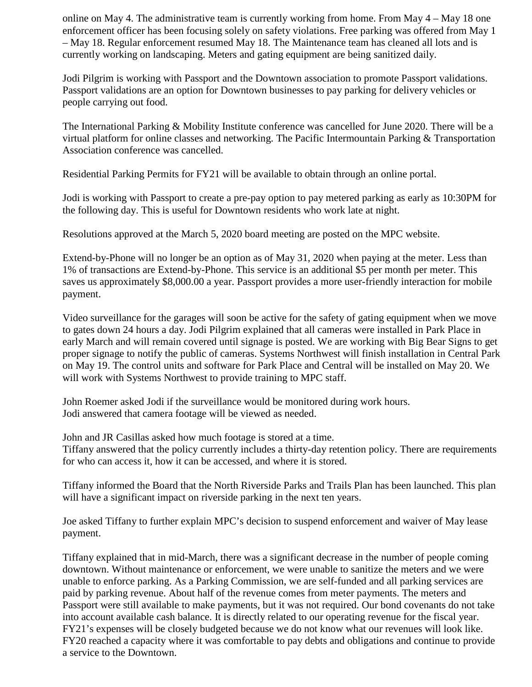online on May 4. The administrative team is currently working from home. From May 4 – May 18 one enforcement officer has been focusing solely on safety violations. Free parking was offered from May 1 – May 18. Regular enforcement resumed May 18. The Maintenance team has cleaned all lots and is currently working on landscaping. Meters and gating equipment are being sanitized daily.

Jodi Pilgrim is working with Passport and the Downtown association to promote Passport validations. Passport validations are an option for Downtown businesses to pay parking for delivery vehicles or people carrying out food.

The International Parking & Mobility Institute conference was cancelled for June 2020. There will be a virtual platform for online classes and networking. The Pacific Intermountain Parking & Transportation Association conference was cancelled.

Residential Parking Permits for FY21 will be available to obtain through an online portal.

Jodi is working with Passport to create a pre-pay option to pay metered parking as early as 10:30PM for the following day. This is useful for Downtown residents who work late at night.

Resolutions approved at the March 5, 2020 board meeting are posted on the MPC website.

Extend-by-Phone will no longer be an option as of May 31, 2020 when paying at the meter. Less than 1% of transactions are Extend-by-Phone. This service is an additional \$5 per month per meter. This saves us approximately \$8,000.00 a year. Passport provides a more user-friendly interaction for mobile payment.

Video surveillance for the garages will soon be active for the safety of gating equipment when we move to gates down 24 hours a day. Jodi Pilgrim explained that all cameras were installed in Park Place in early March and will remain covered until signage is posted. We are working with Big Bear Signs to get proper signage to notify the public of cameras. Systems Northwest will finish installation in Central Park on May 19. The control units and software for Park Place and Central will be installed on May 20. We will work with Systems Northwest to provide training to MPC staff.

John Roemer asked Jodi if the surveillance would be monitored during work hours. Jodi answered that camera footage will be viewed as needed.

John and JR Casillas asked how much footage is stored at a time.

Tiffany answered that the policy currently includes a thirty-day retention policy. There are requirements for who can access it, how it can be accessed, and where it is stored.

Tiffany informed the Board that the North Riverside Parks and Trails Plan has been launched. This plan will have a significant impact on riverside parking in the next ten years.

Joe asked Tiffany to further explain MPC's decision to suspend enforcement and waiver of May lease payment.

Tiffany explained that in mid-March, there was a significant decrease in the number of people coming downtown. Without maintenance or enforcement, we were unable to sanitize the meters and we were unable to enforce parking. As a Parking Commission, we are self-funded and all parking services are paid by parking revenue. About half of the revenue comes from meter payments. The meters and Passport were still available to make payments, but it was not required. Our bond covenants do not take into account available cash balance. It is directly related to our operating revenue for the fiscal year. FY21's expenses will be closely budgeted because we do not know what our revenues will look like. FY20 reached a capacity where it was comfortable to pay debts and obligations and continue to provide a service to the Downtown.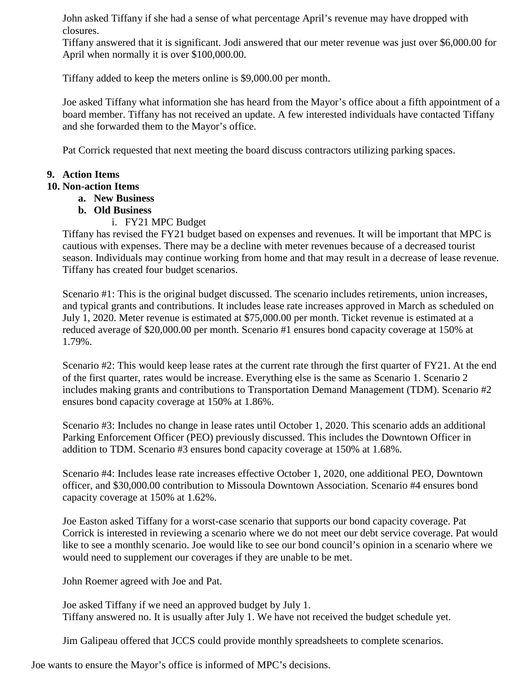John asked Tiffany if she had a sense of what percentage April's revenue may have dropped with closures.

Tiffany answered that it is significant. Jodi answered that our meter revenue was just over \$6,000.00 for April when normally it is over \$100,000.00.

Tiffany added to keep the meters online is \$9,000.00 per month.

Joe asked Tiffany what information she has heard from the Mayor's office about a fifth appointment of a board member. Tiffany has not received an update. A few interested individuals have contacted Tiffany and she forwarded them to the Mayor's office.

Pat Corrick requested that next meeting the board discuss contractors utilizing parking spaces.

# **9. Action Items**

# **10. Non-action Items**

- **a. New Business**
- **b. Old Business**
	- i. FY21 MPC Budget

Tiffany has revised the FY21 budget based on expenses and revenues. It will be important that MPC is cautious with expenses. There may be a decline with meter revenues because of a decreased tourist season. Individuals may continue working from home and that may result in a decrease of lease revenue. Tiffany has created four budget scenarios.

Scenario #1: This is the original budget discussed. The scenario includes retirements, union increases, and typical grants and contributions. It includes lease rate increases approved in March as scheduled on July 1, 2020. Meter revenue is estimated at \$75,000.00 per month. Ticket revenue is estimated at a reduced average of \$20,000.00 per month. Scenario #1 ensures bond capacity coverage at 150% at 1.79%.

Scenario #2: This would keep lease rates at the current rate through the first quarter of FY21. At the end of the first quarter, rates would be increase. Everything else is the same as Scenario 1. Scenario 2 includes making grants and contributions to Transportation Demand Management (TDM). Scenario #2 ensures bond capacity coverage at 150% at 1.86%.

Scenario #3: Includes no change in lease rates until October 1, 2020. This scenario adds an additional Parking Enforcement Officer (PEO) previously discussed. This includes the Downtown Officer in addition to TDM. Scenario #3 ensures bond capacity coverage at 150% at 1.68%.

Scenario #4: Includes lease rate increases effective October 1, 2020, one additional PEO, Downtown officer, and \$30,000.00 contribution to Missoula Downtown Association. Scenario #4 ensures bond capacity coverage at 150% at 1.62%.

Joe Easton asked Tiffany for a worst-case scenario that supports our bond capacity coverage. Pat Corrick is interested in reviewing a scenario where we do not meet our debt service coverage. Pat would like to see a monthly scenario. Joe would like to see our bond council's opinion in a scenario where we would need to supplement our coverages if they are unable to be met.

John Roemer agreed with Joe and Pat.

Joe asked Tiffany if we need an approved budget by July 1. Tiffany answered no. It is usually after July 1. We have not received the budget schedule yet.

Jim Galipeau offered that JCCS could provide monthly spreadsheets to complete scenarios.

Joe wants to ensure the Mayor's office is informed of MPC's decisions.